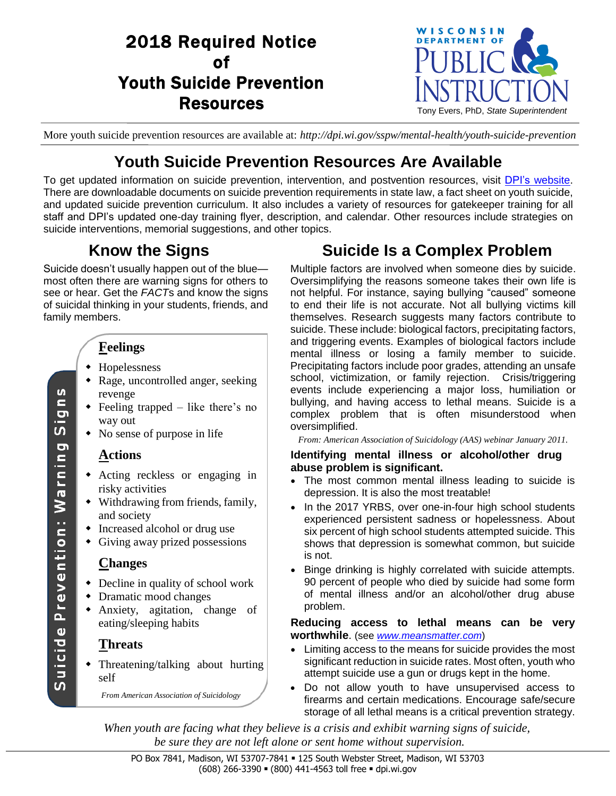# 2018 Required Notice of Youth Suicide Prevention **Resources**



More youth suicide prevention resources are available at: *http://dpi.wi.gov/sspw/mental-health/youth-suicide-prevention*

# **Youth Suicide Prevention Resources Are Available**

To get updated information on suicide prevention, intervention, and postvention resources, visit DPI's [website.](https://dpi.wi.gov/sspw/mental-health/youth-suicide-prevention) There are downloadable documents on suicide prevention requirements in state law, a fact sheet on youth suicide, and updated suicide prevention curriculum. It also includes a variety of resources for gatekeeper training for all staff and DPI's updated one-day training flyer, description, and calendar. Other resources include strategies on suicide interventions, memorial suggestions, and other topics.

# **Know the Signs**

Suicide doesn't usually happen out of the blue most often there are warning signs for others to see or hear. Get the *FACT*s and know the signs of suicidal thinking in your students, friends, and family members.

# **Feelings**

- Hopelessness
- Rage, uncontrolled anger, seeking revenge
- Feeling trapped like there's no way out
- No sense of purpose in life

## **Actions**

- Acting reckless or engaging in risky activities
- Withdrawing from friends, family, and society
- Increased alcohol or drug use
- Giving away prized possessions

### **Changes**

- Decline in quality of school work
- Dramatic mood changes
- Anxiety, agitation, change of eating/sleeping habits

## **Threats**

 Threatening/talking about hurting self

*From American Association of Suicidology*

# **Suicide Is a Complex Problem**

Multiple factors are involved when someone dies by suicide. Oversimplifying the reasons someone takes their own life is not helpful. For instance, saying bullying "caused" someone to end their life is not accurate. Not all bullying victims kill themselves. Research suggests many factors contribute to suicide. These include: biological factors, precipitating factors, and triggering events. Examples of biological factors include mental illness or losing a family member to suicide. Precipitating factors include poor grades, attending an unsafe school, victimization, or family rejection. Crisis/triggering events include experiencing a major loss, humiliation or bullying, and having access to lethal means. Suicide is a complex problem that is often misunderstood when oversimplified.

*From: American Association of Suicidology (AAS) webinar January 2011.*

#### **Identifying mental illness or alcohol/other drug abuse problem is significant.**

- The most common mental illness leading to suicide is depression. It is also the most treatable!
- In the 2017 YRBS, over one-in-four high school students experienced persistent sadness or hopelessness. About six percent of high school students attempted suicide. This shows that depression is somewhat common, but suicide is not.
- Binge drinking is highly correlated with suicide attempts. 90 percent of people who died by suicide had some form of mental illness and/or an alcohol/other drug abuse problem.

### **Reducing access to lethal means can be very worthwhile**. (see *[www.meansmatter.com](https://www.hsph.harvard.edu/means-matter/)*)

- Limiting access to the means for suicide provides the most significant reduction in suicide rates. Most often, youth who attempt suicide use a gun or drugs kept in the home.
- Do not allow youth to have unsupervised access to firearms and certain medications. Encourage safe/secure storage of all lethal means is a critical prevention strategy.

*When youth are facing what they believe is a crisis and exhibit warning signs of suicide, be sure they are not left alone or sent home without supervision.*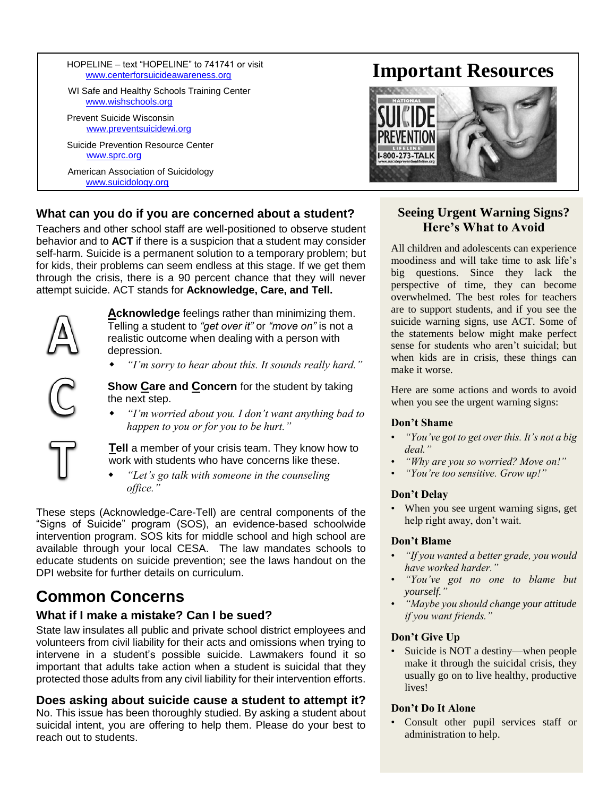HOPELINE – text "HOPELINE" to 741741 or visit [www.centerforsuicideawareness.org](http://www.centerforsuicideawareness.org/)

WI Safe and Healthy Schools Training Center [www.wishschools.org](http://www.wishschools.org/)

Prevent Suicide Wisconsin [www.preventsuicidewi.org](http://www.preventsuicidewi.org/)

Suicide Prevention Resource Center [www.sprc.org](http://www.sprc.org/)

American Association of Suicidology [www.suicidology.org](http://www.suicidology.org/)

## **What can you do if you are concerned about a student?**

Teachers and other school staff are well-positioned to observe student behavior and to **ACT** if there is a suspicion that a student may consider self-harm. Suicide is a permanent solution to a temporary problem; but for kids, their problems can seem endless at this stage. If we get them through the crisis, there is a 90 percent chance that they will never attempt suicide. ACT stands for **Acknowledge, Care, and Tell.**



**Acknowledge** feelings rather than minimizing them. Telling a student to *"get over it"* or *"move on"* is not a realistic outcome when dealing with a person with depression.

*"I'm sorry to hear about this. It sounds really hard."*

**Show Care and Concern** for the student by taking the next step.

 *"I'm worried about you. I don't want anything bad to happen to you or for you to be hurt."* 

**Tell** a member of your crisis team. They know how to work with students who have concerns like these.

 *"Let's go talk with someone in the counseling office."* 

These steps (Acknowledge-Care-Tell) are central components of the "Signs of Suicide" program (SOS), an evidence-based schoolwide intervention program. SOS kits for middle school and high school are available through your local CESA. The law mandates schools to educate students on suicide prevention; see the laws handout on the DPI website for further details on curriculum.

# **Common Concerns**

### **What if I make a mistake? Can I be sued?**

State law insulates all public and private school district employees and volunteers from civil liability for their acts and omissions when trying to intervene in a student's possible suicide. Lawmakers found it so important that adults take action when a student is suicidal that they protected those adults from any civil liability for their intervention efforts.

### **Does asking about suicide cause a student to attempt it?**

No. This issue has been thoroughly studied. By asking a student about suicidal intent, you are offering to help them. Please do your best to reach out to students.

# **Important Resources**



### **Seeing Urgent Warning Signs? Here's What to Avoid**

All children and adolescents can experience moodiness and will take time to ask life's big questions. Since they lack the perspective of time, they can become overwhelmed. The best roles for teachers are to support students, and if you see the suicide warning signs, use ACT. Some of the statements below might make perfect sense for students who aren't suicidal; but when kids are in crisis, these things can make it worse.

Here are some actions and words to avoid when you see the urgent warning signs:

#### **Don't Shame**

- *"You've got to get over this. It's not a big deal."*
- *"Why are you so worried? Move on!"*
- *"You're too sensitive. Grow up!"*

#### **Don't Delay**

When you see urgent warning signs, get help right away, don't wait.

#### **Don't Blame**

- *"If you wanted a better grade, you would have worked harder."*
- *"You've got no one to blame but yourself."*
- *"Maybe you should change your attitude if you want friends."*

#### **Don't Give Up**

• Suicide is NOT a destiny—when people make it through the suicidal crisis, they usually go on to live healthy, productive lives!

#### **Don't Do It Alone**

Consult other pupil services staff or administration to help.